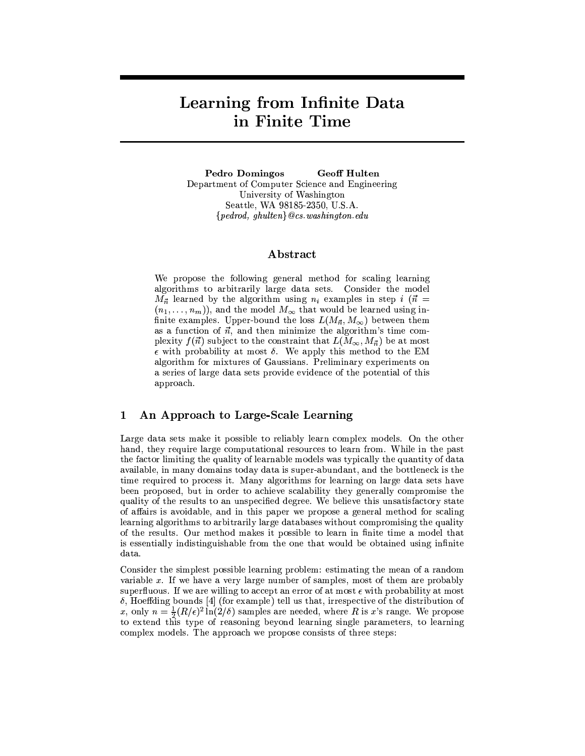# Learning from Infinite Data in Finite Time

**Pedro Domingos Geoff Hulten** Department of Computer Science and Engineering University of Washington Seattle, WA 98185-2350, U.S.A.  ${f$  pedrod, ghulten ${Q}$ cs.washington.edu

### Abstract

We propose the following general method for scaling learning algorithms to arbitrarily large data sets. Consider the model  $M_{\vec{n}}$  learned by the algorithm using  $n_i$  examples in step i ( $\vec{n}$  =  $(n_1, \ldots, n_m)$ , and the model  $M_\infty$  that would be learned using infinite examples. Upper-bound the loss  $L(M_{\vec{n}}, M_{\infty})$  between them as a function of  $\vec{n}$ , and then minimize the algorithm's time complexity  $f(\vec{n})$  subject to the constraint that  $L(M_{\infty}, M_{\vec{n}})$  be at most  $\epsilon$  with probability at most  $\delta$ . We apply this method to the EM algorithm for mixtures of Gaussians. Preliminary experiments on a series of large data sets provide evidence of the potential of this approach.

#### An Approach to Large-Scale Learning  $\mathbf 1$

Large data sets make it possible to reliably learn complex models. On the other hand, they require large computational resources to learn from. While in the past the factor limiting the quality of learnable models was typically the quantity of data available, in many domains today data is super-abundant, and the bottleneck is the time required to process it. Many algorithms for learning on large data sets have been proposed, but in order to achieve scalability they generally compromise the quality of the results to an unspecified degree. We believe this unsatisfactory state of affairs is avoidable, and in this paper we propose a general method for scaling learning algorithms to arbitrarily large databases without compromising the quality of the results. Our method makes it possible to learn in finite time a model that is essentially indistinguishable from the one that would be obtained using infinite data.

Consider the simplest possible learning problem: estimating the mean of a random variable x. If we have a very large number of samples, most of them are probably superfluous. If we are willing to accept an error of at most  $\epsilon$  with probability at most  $\delta$ , Hoeffding bounds [4] (for example) tell us that, irrespective of the distribution of x, only  $n = \frac{1}{2}(R/\epsilon)^2 \ln(2/\delta)$  samples are needed, where R is x's range. We propose to extend this type of reasoning beyond learning single parameters, to learning complex models. The approach we propose consists of three steps: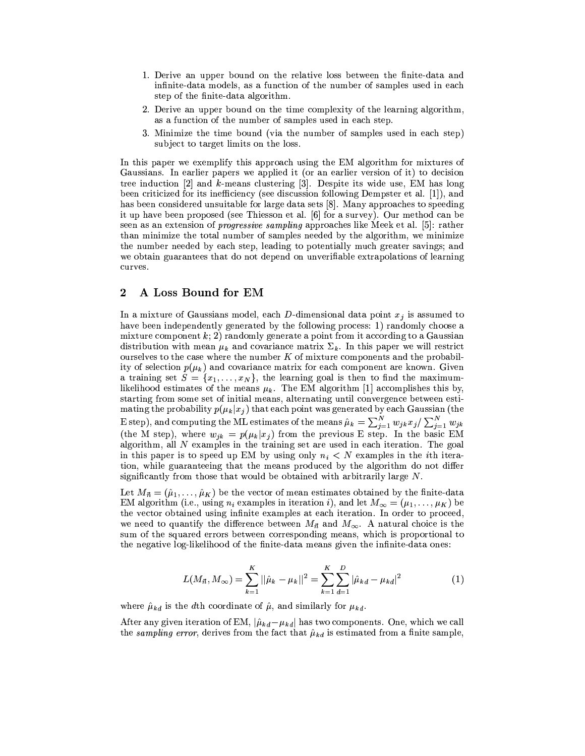- 1. Derive an upper bound on the relative loss between the finite-data and infinite-data models, as a function of the number of samples used in each step of the finite-data algorithm.
- 2. Derive an upper bound on the time complexity of the learning algorithm, as a function of the number of samples used in each step.
- 3. Minimize the time bound (via the number of samples used in each step) subject to target limits on the loss.

In this paper we exemplify this approach using the EM algorithm for mixtures of Gaussians. In earlier papers we applied it (or an earlier version of it) to decision tree induction  $[2]$  and k-means clustering  $[3]$ . Despite its wide use, EM has long been criticized for its inefficiency (see discussion following Dempster et al. [1]), and has been considered unsuitable for large data sets [8]. Many approaches to speeding it up have been proposed (see Thiesson et al. [6] for a survey). Our method can be seen as an extension of *progressive sampling* approaches like Meek et al. [5]: rather than minimize the total number of samples needed by the algorithm, we minimize the number needed by each step, leading to potentially much greater savings; and we obtain guarantees that do not depend on unverifiable extrapolations of learning curves.

#### $\bf{2}$ A Loss Bound for EM

In a mixture of Gaussians model, each D-dimensional data point  $x_j$  is assumed to have been independently generated by the following process: 1) randomly choose a mixture component  $k$ ; 2) randomly generate a point from it according to a Gaussian distribution with mean  $\mu_k$  and covariance matrix  $\Sigma_k$ . In this paper we will restrict ourselves to the case where the number  $K$  of mixture components and the probability of selection  $p(\mu_k)$  and covariance matrix for each component are known. Given a training set  $S = \{x_1, \ldots, x_N\}$ , the learning goal is then to find the maximumlikelihood estimates of the means  $\mu_k$ . The EM algorithm [1] accomplishes this by, starting from some set of initial means, alternating until convergence between estimating the probability  $p(\mu_k|x_j)$  that each point was generated by each Gaussian (the E step), and computing the ML estimates of the means  $\hat{\mu}_k = \sum_{j=1}^N w_{jk} x_j / \sum_{j=1}^N w_{jk}$ <br>(the M step), where  $w_{jk} = p(\mu_k | x_j)$  from the previous E step. In the basic EM algorithm, all  $N$  examples in the training set are used in each iteration. The goal in this paper is to speed up EM by using only  $n_i < N$  examples in the *i*th iteration, while guaranteeing that the means produced by the algorithm do not differ significantly from those that would be obtained with arbitrarily large  $N$ .

Let  $M_{\vec{n}} = (\hat{\mu}_1, \dots, \hat{\mu}_K)$  be the vector of mean estimates obtained by the finite-data EM algorithm (i.e., using  $n_i$  examples in iteration i), and let  $M_{\infty} = (\mu_1, \dots, \mu_K)$  be the vector obtained using infinite examples at each iteration. In order to proceed, we need to quantify the difference between  $M_{\vec{n}}$  and  $M_{\infty}$ . A natural choice is the sum of the squared errors between corresponding means, which is proportional to the negative log-likelihood of the finite-data means given the infinite-data ones:

$$
L(M_{\vec{n}}, M_{\infty}) = \sum_{k=1}^{K} ||\hat{\mu}_k - \mu_k||^2 = \sum_{k=1}^{K} \sum_{d=1}^{D} |\hat{\mu}_{kd} - \mu_{kd}|^2
$$
(1)

where  $\hat{\mu}_{kd}$  is the dth coordinate of  $\hat{\mu}$ , and similarly for  $\mu_{kd}$ .

After any given iteration of EM,  $|\hat{\mu}_{kd} - \mu_{kd}|$  has two components. One, which we call the sampling error, derives from the fact that  $\hat{\mu}_{kd}$  is estimated from a finite sample,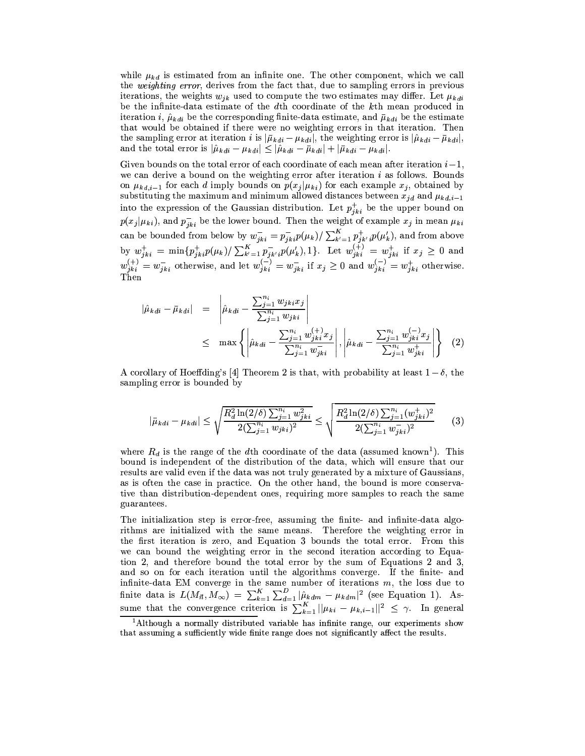while  $\mu_{kd}$  is estimated from an infinite one. The other component, which we call the *weighting error*, derives from the fact that, due to sampling errors in previous iterations, the weights  $w_{ik}$  used to compute the two estimates may differ. Let  $\mu_{kdi}$ be the infinite-data estimate of the dth coordinate of the kth mean produced in iteration i,  $\hat{\mu}_{kdi}$  be the corresponding finite-data estimate, and  $\bar{\mu}_{kdi}$  be the estimate that would be obtained if there were no weighting errors in that iteration. Then the sampling error at iteration *i* is  $|\bar{\mu}_{kdi} - \mu_{kdi}|$ , the weighting error is  $|\hat{\mu}_{kdi} - \bar{\mu}_{kdi}|$ , and the total error is  $|\hat{\mu}_{kdi} - \mu_{kdi}| \leq |\hat{\mu}_{kdi} - \bar{\mu}_{kdi}| + |\bar{\mu}_{kdi} - \mu_{kdi}|.$ 

Given bounds on the total error of each coordinate of each mean after iteration  $i-1$ . we can derive a bound on the weighting error after iteration  $i$  as follows. Bounds on  $\mu_{kd,i-1}$  for each d imply bounds on  $p(x_j|\mu_{ki})$  for each example  $x_j$ , obtained by substituting the maximum and minimum allowed distances between  $x_{jd}$  and  $\mu_{kd,i-1}$ into the expression of the Gaussian distribution. Let  $p_{jki}^+$  be the upper bound on  $p(x_j|\mu_{ki})$ , and  $p_{jki}^-$  be the lower bound. Then the weight of example  $x_j$  in mean  $\mu_{ki}$ can be bounded from below by  $w_{jki}^- = p_{jki}^- p(\mu_k) / \sum_{k'=1}^K p_{jk'i}^+ p(\mu'_k)$ , and from above<br>by  $w_{jki}^+ = \min \{p_{jki}^+ p(\mu_k) / \sum_{k'=1}^K p_{jk'i}^- p(\mu'_k), 1\}$ . Let  $w_{jki}^{(+)} = w_{jki}^+$  if  $x_j \ge 0$  and<br> $w_{jki}^{(+)} = w_{jki}^-$  otherwise, and let Then

$$
|\hat{\mu}_{kdi} - \bar{\mu}_{kdi}| = \left| \hat{\mu}_{kdi} - \frac{\sum_{j=1}^{n_i} w_{jki} x_j}{\sum_{j=1}^{n_i} w_{jki}} \right|
$$
  
 
$$
\leq \max \left\{ \left| \hat{\mu}_{kdi} - \frac{\sum_{j=1}^{n_i} w_{jki}^{(+)} x_j}{\sum_{j=1}^{n_i} w_{jki}^{-}} \right|, \left| \hat{\mu}_{kdi} - \frac{\sum_{j=1}^{n_i} w_{jki}^{(-)} x_j}{\sum_{j=1}^{n_i} w_{jki}^{+}} \right| \right\} (2)
$$

A corollary of Hoeffding's [4] Theorem 2 is that, with probability at least  $1-\delta$ , the sampling error is bounded by

$$
|\bar{\mu}_{kdi} - \mu_{kdi}| \le \sqrt{\frac{R_d^2 \ln(2/\delta) \sum_{j=1}^{n_i} w_{jki}^2}{2(\sum_{j=1}^{n_i} w_{jki})^2}} \le \sqrt{\frac{R_d^2 \ln(2/\delta) \sum_{j=1}^{n_i} (w_{jki}^+)^2}{2(\sum_{j=1}^{n_i} w_{jki}^-)^2}}
$$
(3)

where  $R_d$  is the range of the dth coordinate of the data (assumed known<sup>1</sup>). This bound is independent of the distribution of the data, which will ensure that our results are valid even if the data was not truly generated by a mixture of Gaussians, as is often the case in practice. On the other hand, the bound is more conservative than distribution-dependent ones, requiring more samples to reach the same guarantees.

The initialization step is error-free, assuming the finite- and infinite-data algorithms are initialized with the same means. Therefore the weighting error in the first iteration is zero, and Equation 3 bounds the total error. From this we can bound the weighting error in the second iteration according to Equation 2, and therefore bound the total error by the sum of Equations 2 and 3, and so on for each iteration until the algorithms converge. If the finite- and infinite-data EM converge in the same number of iterations m, the loss due to<br>finite data is  $L(M_{\vec{n}}, M_{\infty}) = \sum_{k=1}^{K} \sum_{d=1}^{D} |\hat{\mu}_{kdm} - \mu_{kdm}|^2$  (see Equation 1). Assume that the convergence criterion is  $\sum_{k=1}^{K} ||\mu_{$ 

<sup>&</sup>lt;sup>1</sup>Although a normally distributed variable has infinite range, our experiments show that assuming a sufficiently wide finite range does not significantly affect the results.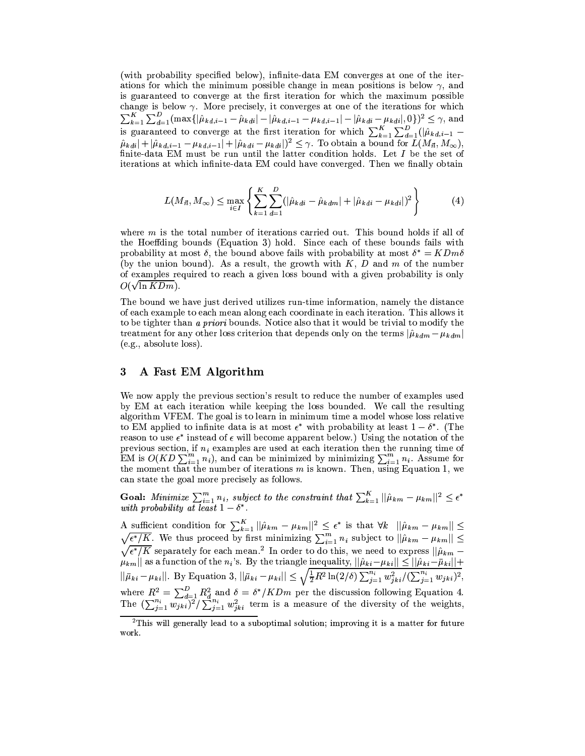(with probability specified below), infinite-data EM converges at one of the iterations for which the minimum possible change in mean positions is below  $\gamma$ , and is guaranteed to converge at the first iteration for which the maximum possible change is below  $\gamma$ . More precisely, it converges at one of the iterations for which  $\sum_{k=1}^{K} \sum_{d=1}^{D} (\max\{|\hat{\mu}_{kd,i-1} - \hat{\mu}_{kd,i}| - |\hat{\mu}_{kd,i-1} - \mu_{kd,i-1}| - |\hat{\mu}_{kdi} - \mu_{kdi}|, 0\})^2 \leq \gamma$ , and<br>is guaranteed to converge at the first iteration for which  $\sum_{k=1}^{K} \sum_{d=1}^{D} (|\hat{\mu}_{kd,i-1} - \hat{\mu}_{kd,i}| + |\hat{\mu}_{kd,i-1} - \mu_{kd,i-1}| + |\$ finite-data EM must be run until the latter condition holds. Let  $I$  be the set of iterations at which infinite-data EM could have converged. Then we finally obtain

$$
L(M_{\vec{n}}, M_{\infty}) \leq \max_{i \in I} \left\{ \sum_{k=1}^{K} \sum_{d=1}^{D} (|\hat{\mu}_{kdi} - \hat{\mu}_{kdm}| + |\hat{\mu}_{kdi} - \mu_{kdi}|)^2 \right\}
$$
(4)

where  $m$  is the total number of iterations carried out. This bound holds if all of the Hoeffding bounds (Equation 3) hold. Since each of these bounds fails with probability at most  $\delta$ , the bound above fails with probability at most  $\delta^* = K D m \delta$ (by the union bound). As a result, the growth with  $K$ , D and m of the number of examples required to reach a given loss bound with a given probability is only  $O(\sqrt{\ln K D m}).$ 

The bound we have just derived utilizes run-time information, namely the distance of each example to each mean along each coordinate in each iteration. This allows it to be tighter than a priori bounds. Notice also that it would be trivial to modify the treatment for any other loss criterion that depends only on the terms  $|\hat{\mu}_{kdm} - \mu_{kdm}|$ (e.g., absolute loss).

#### 3 A Fast EM Algorithm

We now apply the previous section's result to reduce the number of examples used by EM at each iteration while keeping the loss bounded. We call the resulting algorithm VFEM. The goal is to learn in minimum time a model whose loss relative to EM applied to infinite data is at most  $\epsilon^*$  with probability at least  $1-\delta^*$ . (The reason to use  $\epsilon^*$  instead of  $\epsilon$  will become apparent below.) Using the notation of the previous section, if  $n_i$  examples are used at each iteration then the running time of EM is  $O(KD \sum_{i=1}^{m} n_i)$ , and can be minimized by minimizing  $\sum_{i=1}^{m} n_i$ . Assume for<br>the moment that the number of iterations m is known. Then, using Equation 1, we can state the goal more precisely as follows.

**Goal:** Minimize  $\sum_{i=1}^{m} n_i$ , subject to the constraint that  $\sum_{k=1}^{K} ||\hat{\mu}_{km} - \mu_{km}||^2 \le \epsilon^*$  with probability at least  $1 - \delta^*$ .

A sufficient condition for  $\sum_{k=1}^{K} ||\hat{\mu}_{km} - \mu_{km}||^2 \leq \epsilon^*$  is that  $\forall k ||\hat{\mu}_{km} - \mu_{km}|| \leq \sqrt{\epsilon^* / K}$ . We thus proceed by first minimizing  $\sum_{i=1}^{m} n_i$  subject to  $||\hat{\mu}_{km} - \mu_{km}|| \leq$  $\sqrt{\epsilon^* / K}$  separately for each mean.<sup>2</sup> In order to do this, we need to express  $||\hat{\mu}_{km} - \mu_{km}||$  as a function of the  $n_i$ 's. By the triangle inequality,  $||\hat{\mu}_{ki} - \mu_{ki}|| \le ||\hat{\mu}_{ki} - \bar{\mu}_{ki}|| + ||\bar{\mu}_{ki} - \mu_{ki}||$ . By Equation where  $R^2 = \sum_{d=1}^D R_d^2$  and  $\delta = \delta^* / K D m$  per the discussion following Equation 4.<br>The  $(\sum_{j=1}^{n_i} w_{jki})^2 / \sum_{j=1}^{n_i} w_{jki}^2$  term is a measure of the diversity of the weights,

 $2$ This will generally lead to a suboptimal solution; improving it is a matter for future work.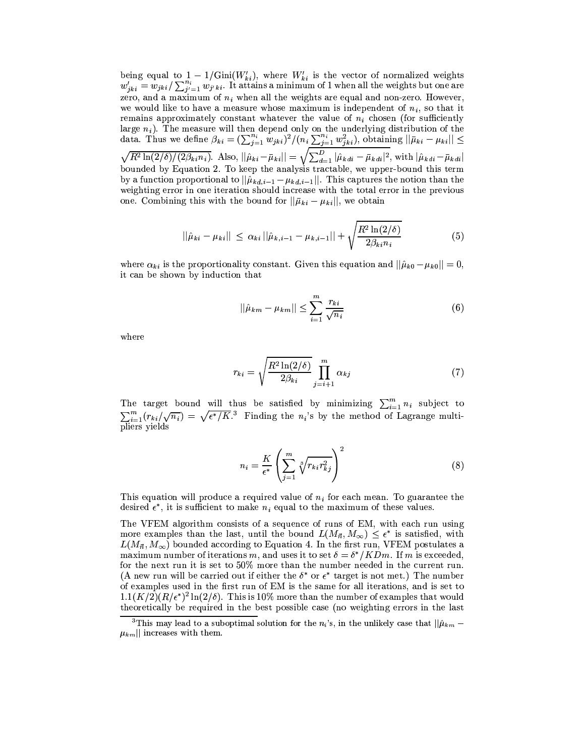being equal to  $1 - 1/\text{Gini}(W'_{ki})$ , where  $W'_{ki}$  is the vector of normalized weights  $w'_{jki} = w_{jki}/\sum_{j'=1}^{n_i} w_{j'ki}$ . It attains a minimum of 1 when all the weights but one are zero, and a maximum of  $n_i$  when all the weights are equal and non-zero. However, we would like to have a measure whose maximum is independent of  $n_i$ , so that it remains approximately constant whatever the value of  $n_i$  chosen (for sufficiently large  $n_i$ ). The measure will then depend only on the underlying distribution of the data. Thus we define  $\beta_{ki} = (\sum_{j=1}^{n_i} w_{jki})^2/(n_i \sum_{j=1}^{n_i} w_{jki}^2)$ , obtaining  $||\bar{\mu}_{ki} - \mu_{ki}|| \le \sqrt{R^2 \ln(2/\delta)/(2\beta_{ki}n_i)}$ . Also,  $||\hat{\mu$ bounded by Equation 2. To keep the analysis tractable, we upper-bound this term by a function proportional to  $||\hat{\mu}_{kd,i-1} - \mu_{kd,i-1}||$ . This captures the notion than the weighting error in one iteration should increase with the total error in the previous one. Combining this with the bound for  $\|\bar{\mu}_{ki} - \mu_{ki}\|$ , we obtain

$$
||\hat{\mu}_{ki} - \mu_{ki}|| \leq \alpha_{ki} ||\hat{\mu}_{k,i-1} - \mu_{k,i-1}|| + \sqrt{\frac{R^2 \ln(2/\delta)}{2\beta_{ki}n_i}}
$$
(5)

where  $\alpha_{ki}$  is the proportionality constant. Given this equation and  $||\hat{\mu}_{k0} - \mu_{k0}|| = 0$ , it can be shown by induction that

$$
||\hat{\mu}_{km} - \mu_{km}|| \le \sum_{i=1}^{m} \frac{r_{ki}}{\sqrt{n_i}}
$$
 (6)

where

$$
r_{ki} = \sqrt{\frac{R^2 \ln(2/\delta)}{2\beta_{ki}}} \prod_{j=i+1}^{m} \alpha_{kj} \tag{7}
$$

The target bound will thus be satisfied by minimizing  $\sum_{i=1}^{m} n_i$  subject to  $\sum_{i=1}^m (r_{ki}/\sqrt{n_i}) = \sqrt{\epsilon^*/K}$ <sup>3</sup> Finding the n<sub>i</sub>'s by the method of Lagrange multipliers yields

$$
n_i = \frac{K}{\epsilon^*} \left( \sum_{j=1}^m \sqrt[3]{r_{ki} r_{kj}^2} \right)^2 \tag{8}
$$

This equation will produce a required value of  $n_i$  for each mean. To guarantee the desired  $\epsilon^*$ , it is sufficient to make  $n_i$  equal to the maximum of these values.

The VFEM algorithm consists of a sequence of runs of EM, with each run using more examples than the last, until the bound  $L(M_{\vec{n}}, M_{\infty}) \leq \epsilon^*$  is satisfied, with  $L(M_{\vec{n}},M_{\infty})$  bounded according to Equation 4. In the first run, VFEM postulates a maximum number of iterations m, and uses it to set  $\delta = \delta^* / K Dm$ . If m is exceeded, for the next run it is set to 50% more than the number needed in the current run. (A new run will be carried out if either the  $\delta^*$  or  $\epsilon^*$  target is not met.) The number of examples used in the first run of EM is the same for all iterations, and is set to  $1.1(K/2)(R/\epsilon^*)^2 \ln(2/\delta)$ . This is 10% more than the number of examples that would theoretically be required in the best possible case (no weighting errors in the last

<sup>&</sup>lt;sup>3</sup>This may lead to a suboptimal solution for the  $n_i$ 's, in the unlikely case that  $||\hat{\mu}_{km} \mu_{km}$ || increases with them.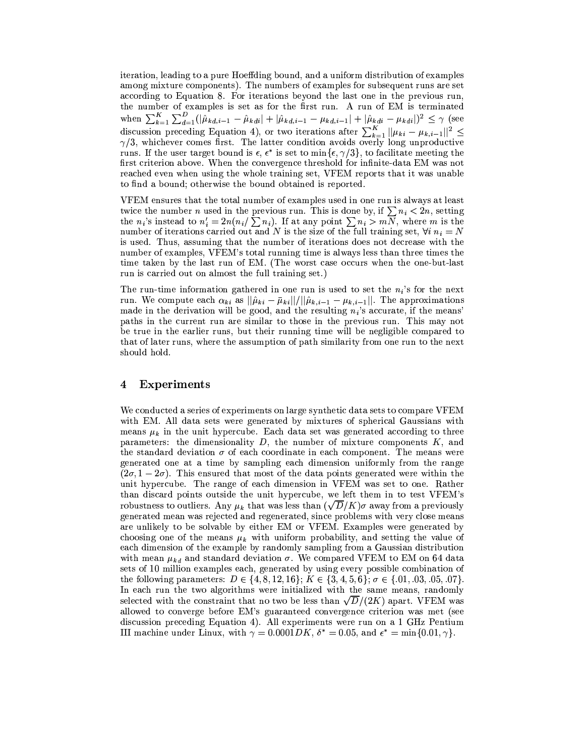iteration, leading to a pure Hoeffding bound, and a uniform distribution of examples among mixture components). The numbers of examples for subsequent runs are set according to Equation 8. For iterations beyond the last one in the previous run, the number of examples is set as for the first run. A run of EM is terminated when  $\sum_{k=1}^{K} \sum_{d=1}^{D} (|\hat{\mu}_{kd,i-1} - \hat{\mu}_{kdi}| + |\hat{\mu}_{kd,i-1} - \mu_{kd,i-1}| + |\hat{\mu}_{kdi} - \mu_{kdi}|)^2 \leq \gamma$  (see<br>discussion preceding Equation 4), or two iterations after  $\sum_{k=1}^{K} ||\mu_{ki} - \mu_{k,i-1}||^2 \leq \gamma/3$ , whichever comes first. The l runs. If the user target bound is  $\epsilon$ ,  $\epsilon^*$  is set to min $\{\epsilon, \gamma/3\}$ , to facilitate meeting the first criterion above. When the convergence threshold for infinite-data EM was not reached even when using the whole training set, VFEM reports that it was unable to find a bound; otherwise the bound obtained is reported.

VFEM ensures that the total number of examples used in one run is always at least twice the number *n* used in the previous run. This is done by, if  $\sum n_i < 2n$ , setting the *n*<sub>i</sub>'s instead to  $n'_i = 2n(n_i/\sum n_i)$ . If at any point  $\sum n_i > mN$ , where *m* is the number of iterations carried out and N is the size of the full training set,  $\forall i$   $n_i = N$ is used. Thus, assuming that the number of iterations does not decrease with the number of examples, VFEM's total running time is always less than three times the time taken by the last run of EM. (The worst case occurs when the one-but-last run is carried out on almost the full training set.)

The run-time information gathered in one run is used to set the  $n_i$ 's for the next run. We compute each  $\alpha_{ki}$  as  $||\hat{\mu}_{ki} - \bar{\mu}_{ki}||/||\hat{\mu}_{k,i-1} - \mu_{k,i-1}||$ . The approximations made in the derivation will be good, and the resulting  $n_i$ 's accurate, if the means' paths in the current run are similar to those in the previous run. This may not be true in the earlier runs, but their running time will be negligible compared to that of later runs, where the assumption of path similarity from one run to the next should hold.

#### $\overline{\mathbf{4}}$ Experiments

We conducted a series of experiments on large synthetic data sets to compare VFEM with EM. All data sets were generated by mixtures of spherical Gaussians with means  $\mu_k$  in the unit hypercube. Each data set was generated according to three parameters: the dimensionality  $D$ , the number of mixture components  $K$ , and the standard deviation  $\sigma$  of each coordinate in each component. The means were generated one at a time by sampling each dimension uniformly from the range  $(2\sigma, 1-2\sigma)$ . This ensured that most of the data points generated were within the unit hypercube. The range of each dimension in VFEM was set to one. Rather than discard points outside the unit hypercube, we left them in to test VFEM's robustness to outliers. Any  $\mu_k$  that was less than  $(\sqrt{D/K})\sigma$  away from a previously generated mean was rejected and regenerated, since problems with very close means are unlikely to be solvable by either EM or VFEM. Examples were generated by choosing one of the means  $\mu_k$  with uniform probability, and setting the value of each dimension of the example by randomly sampling from a Gaussian distribution with mean  $\mu_{kd}$  and standard deviation  $\sigma$ . We compared VFEM to EM on 64 data sets of 10 million examples each, generated by using every possible combination of the following parameters:  $D \in \{4, 8, 12, 16\}$ ;  $K \in \{3, 4, 5, 6\}$ ;  $\sigma \in \{0.1, 0.03, 0.05, 0.07\}$ . In each run the two algorithms were initialized with the same means, randomly selected with the constraint that no two be less than  $\sqrt{D}/(2K)$  apart. VFEM was allowed to converge before EM's guaranteed convergence criterion was met (see discussion preceding Equation 4). All experiments were run on a 1 GHz Pentium III machine under Linux, with  $\gamma = 0.0001DK$ ,  $\delta^* = 0.05$ , and  $\epsilon^* = \min\{0.01, \gamma\}$ .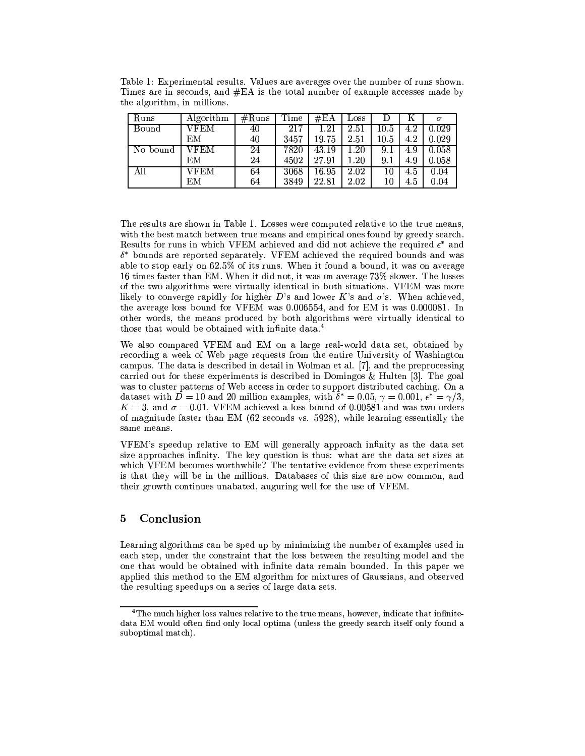| Runs     | Algorithm | #Runs | Time | $\#EA$             | LOSS     |          | Κ   | $\sigma$ |
|----------|-----------|-------|------|--------------------|----------|----------|-----|----------|
| Bound    | VFEM      | 40    | 217  | $1.21\,$           | 2.51     | $10.5\,$ | 4.2 | 0.029    |
|          | EМ        | 40    | 3457 | 19.75              | 2.51     | $10.5\,$ | 4.2 | 0.029    |
| No bound | VFEM      | 24    | 7820 | $\overline{43.19}$ | 1.20     | 9.1      | 4.9 | 0.058    |
|          | ΕМ        | 24    | 4502 | 27.91              | $1.20\,$ | 9.1      | 4.9 | 0.058    |
| All      | VFEM      | 64    | 3068 | 16.95              | 2.02     | 10       | 4.5 | 0.04     |
|          | EМ        | 64    | 3849 | 22.81              | 2.02     | 10       | 4.5 | 0.04     |

Table 1: Experimental results. Values are averages over the number of runs shown. Times are in seconds, and #EA is the total number of example accesses made by the algorithm, in millions.

The results are shown in Table 1. Losses were computed relative to the true means, with the best match between true means and empirical ones found by greedy search. Results for runs in which VFEM achieved and did not achieve the required  $\epsilon^*$  and  $\delta^*$  bounds are reported separately. VFEM achieved the required bounds and was able to stop early on 62.5% of its runs. When it found a bound, it was on average 16 times faster than EM. When it did not, it was on average 73% slower. The losses of the two algorithms were virtually identical in both situations. VFEM was more likely to converge rapidly for higher D's and lower K's and  $\sigma$ 's. When achieved, the average loss bound for VFEM was 0.006554, and for EM it was 0.000081. In other words, the means produced by both algorithms were virtually identical to those that would be obtained with infinite data.<sup>4</sup>

We also compared VFEM and EM on a large real-world data set, obtained by recording a week of Web page requests from the entire University of Washington campus. The data is described in detail in Wolman et al. [7], and the preprocessing carried out for these experiments is described in Domingos & Hulten [3]. The goal was to cluster patterns of Web access in order to support distributed caching. On a dataset with  $D = 10$  and 20 million examples, with  $\delta^* = 0.05$ ,  $\gamma = 0.001$ ,  $\epsilon^* = \gamma/3$ ,  $K = 3$ , and  $\sigma = 0.01$ , VFEM achieved a loss bound of 0.00581 and was two orders of magnitude faster than EM  $(62$  seconds vs. 5928), while learning essentially the same means.

VFEM's speedup relative to EM will generally approach infinity as the data set size approaches infinity. The key question is thus: what are the data set sizes at which VFEM becomes worthwhile? The tentative evidence from these experiments is that they will be in the millions. Databases of this size are now common, and their growth continues unabated, auguring well for the use of VFEM.

#### 5 Conclusion

Learning algorithms can be sped up by minimizing the number of examples used in each step, under the constraint that the loss between the resulting model and the one that would be obtained with infinite data remain bounded. In this paper we applied this method to the EM algorithm for mixtures of Gaussians, and observed the resulting speedups on a series of large data sets.

<sup>&</sup>lt;sup>4</sup>The much higher loss values relative to the true means, however, indicate that infinitedata EM would often find only local optima (unless the greedy search itself only found a suboptimal match).